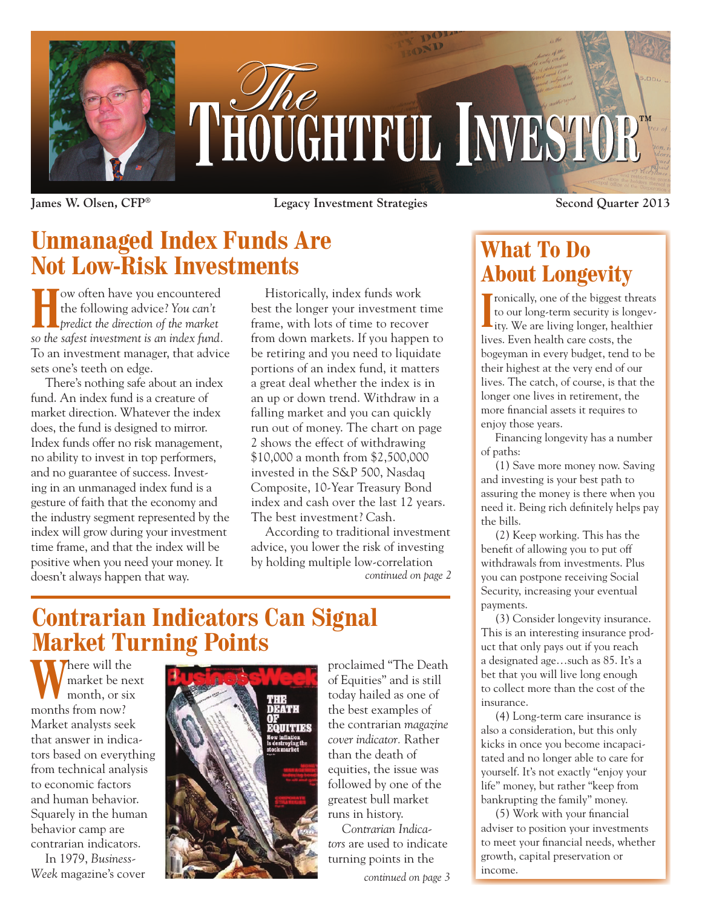

**James W. Olsen, CFP® Legacy Investment Strategies Second Quarter 2013**

# **Unmanaged Index Funds Are Not Low-Risk Investments**

**How often have you encountered** the following advice? *You can't predict the direction of the market so the safest investment is an index fund.*  To an investment manager, that advice sets one's teeth on edge.

There's nothing safe about an index fund. An index fund is a creature of market direction. Whatever the index does, the fund is designed to mirror. Index funds offer no risk management, no ability to invest in top performers, and no guarantee of success. Investing in an unmanaged index fund is a gesture of faith that the economy and the industry segment represented by the index will grow during your investment time frame, and that the index will be positive when you need your money. It doesn't always happen that way.

Historically, index funds work best the longer your investment time frame, with lots of time to recover from down markets. If you happen to be retiring and you need to liquidate portions of an index fund, it matters a great deal whether the index is in an up or down trend. Withdraw in a falling market and you can quickly run out of money. The chart on page 2 shows the effect of withdrawing \$10,000 a month from \$2,500,000 invested in the S&P 500, Nasdaq Composite, 10-Year Treasury Bond index and cash over the last 12 years. The best investment? Cash.

*continued on page 2* According to traditional investment advice, you lower the risk of investing by holding multiple low-correlation

## **Contrarian Indicators Can Signal Market Turning Points**

**There** will the market be next month, or six months from now? Market analysts seek that answer in indicators based on everything from technical analysis to economic factors and human behavior. Squarely in the human behavior camp are contrarian indicators.

In 1979, *Business-Week* magazine's cover



proclaimed "The Death of Equities" and is still today hailed as one of the best examples of the contrarian *magazine cover indicator.* Rather than the death of equities, the issue was followed by one of the greatest bull market runs in history.

*Contrarian Indicators* are used to indicate turning points in the

*continued on page 3*

### **What To Do About Longevity**

**I** contraity, one of the biggest threats<br>to our long-term security is longev-<br>ity. We are living longer, healthier ronically, one of the biggest threats to our long-term security is longevlives. Even health care costs, the bogeyman in every budget, tend to be their highest at the very end of our lives. The catch, of course, is that the longer one lives in retirement, the more financial assets it requires to enjoy those years.

Financing longevity has a number of paths:

(1) Save more money now. Saving and investing is your best path to assuring the money is there when you need it. Being rich definitely helps pay the bills.

(2) Keep working. This has the benefit of allowing you to put off withdrawals from investments. Plus you can postpone receiving Social Security, increasing your eventual payments.

(3) Consider longevity insurance. This is an interesting insurance product that only pays out if you reach a designated age…such as 85. It's a bet that you will live long enough to collect more than the cost of the insurance.

(4) Long-term care insurance is also a consideration, but this only kicks in once you become incapacitated and no longer able to care for yourself. It's not exactly "enjoy your life" money, but rather "keep from bankrupting the family" money.

(5) Work with your financial adviser to position your investments to meet your financial needs, whether growth, capital preservation or income.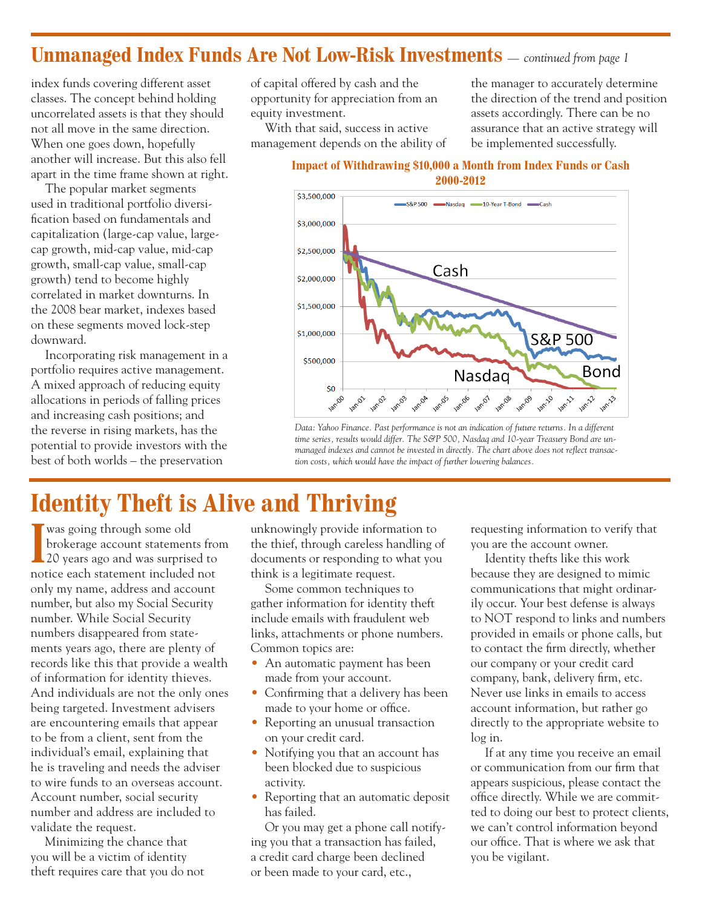### **Unmanaged Index Funds Are Not Low-Risk Investments** *— continued from page 1*

index funds covering different asset classes. The concept behind holding uncorrelated assets is that they should not all move in the same direction. When one goes down, hopefully another will increase. But this also fell apart in the time frame shown at right.

The popular market segments used in traditional portfolio diversification based on fundamentals and capitalization (large-cap value, largecap growth, mid-cap value, mid-cap growth, small-cap value, small-cap growth) tend to become highly correlated in market downturns. In the 2008 bear market, indexes based on these segments moved lock-step downward.

Incorporating risk management in a portfolio requires active management. A mixed approach of reducing equity allocations in periods of falling prices and increasing cash positions; and the reverse in rising markets, has the potential to provide investors with the best of both worlds – the preservation

of capital offered by cash and the opportunity for appreciation from an equity investment.

With that said, success in active management depends on the ability of the manager to accurately determine the direction of the trend and position assets accordingly. There can be no assurance that an active strategy will be implemented successfully.

**Impact of Withdrawing \$10,000 a Month from Index Funds or Cash 2000-2012**



*Data: Yahoo Finance. Past performance is not an indication of future returns. In a different time series, results would differ. The S&P 500, Nasdaq and 10-year Treasury Bond are unmanaged indexes and cannot be invested in directly. The chart above does not reflect transaction costs, which would have the impact of further lowering balances.*

## **Identity Theft is Alive and Thriving**

I was going through some old<br>brokerage account statements from<br>20 years ago and was surprised to brokerage account statements from notice each statement included not only my name, address and account number, but also my Social Security number. While Social Security numbers disappeared from statements years ago, there are plenty of records like this that provide a wealth of information for identity thieves. And individuals are not the only ones being targeted. Investment advisers are encountering emails that appear to be from a client, sent from the individual's email, explaining that he is traveling and needs the adviser to wire funds to an overseas account. Account number, social security number and address are included to validate the request.

Minimizing the chance that you will be a victim of identity theft requires care that you do not unknowingly provide information to the thief, through careless handling of documents or responding to what you think is a legitimate request.

Some common techniques to gather information for identity theft include emails with fraudulent web links, attachments or phone numbers. Common topics are:

- An automatic payment has been made from your account.
- Confirming that a delivery has been made to your home or office.
- Reporting an unusual transaction on your credit card.
- Notifying you that an account has been blocked due to suspicious activity.
- Reporting that an automatic deposit has failed.

Or you may get a phone call notifying you that a transaction has failed, a credit card charge been declined or been made to your card, etc.,

requesting information to verify that you are the account owner.

Identity thefts like this work because they are designed to mimic communications that might ordinarily occur. Your best defense is always to NOT respond to links and numbers provided in emails or phone calls, but to contact the firm directly, whether our company or your credit card company, bank, delivery firm, etc. Never use links in emails to access account information, but rather go directly to the appropriate website to log in.

If at any time you receive an email or communication from our firm that appears suspicious, please contact the office directly. While we are committed to doing our best to protect clients, we can't control information beyond our office. That is where we ask that you be vigilant.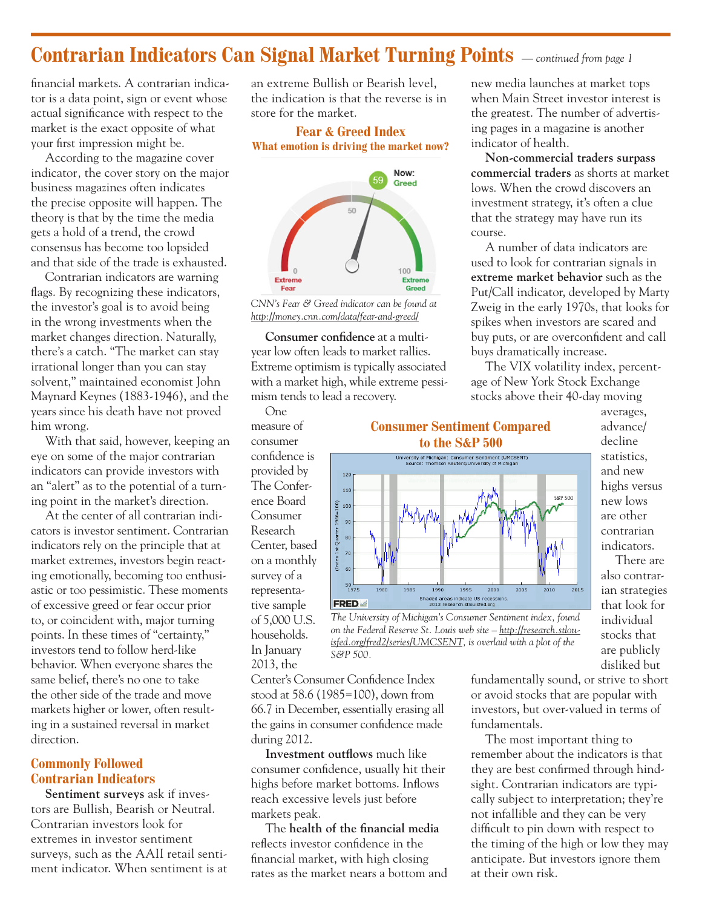### **Contrarian Indicators Can Signal Market Turning Points** *— continued from page 1*

financial markets. A contrarian indicator is a data point, sign or event whose actual significance with respect to the market is the exact opposite of what your first impression might be.

According to the magazine cover indicator*,* the cover story on the major business magazines often indicates the precise opposite will happen. The theory is that by the time the media gets a hold of a trend, the crowd consensus has become too lopsided and that side of the trade is exhausted.

Contrarian indicators are warning flags. By recognizing these indicators, the investor's goal is to avoid being in the wrong investments when the market changes direction. Naturally, there's a catch. "The market can stay irrational longer than you can stay solvent," maintained economist John Maynard Keynes (1883-1946), and the years since his death have not proved him wrong.

With that said, however, keeping an eye on some of the major contrarian indicators can provide investors with an "alert" as to the potential of a turning point in the market's direction.

At the center of all contrarian indicators is investor sentiment. Contrarian indicators rely on the principle that at market extremes, investors begin reacting emotionally, becoming too enthusiastic or too pessimistic. These moments of excessive greed or fear occur prior to, or coincident with, major turning points. In these times of "certainty," investors tend to follow herd-like behavior. When everyone shares the same belief, there's no one to take the other side of the trade and move markets higher or lower, often resulting in a sustained reversal in market direction.

#### **Commonly Followed Contrarian Indicators**

**Sentiment surveys** ask if investors are Bullish, Bearish or Neutral. Contrarian investors look for extremes in investor sentiment surveys, such as the AAII retail sentiment indicator. When sentiment is at an extreme Bullish or Bearish level, the indication is that the reverse is in store for the market.

#### **Fear & Greed Index What emotion is driving the market now?**



*CNN's Fear & Greed indicator can be found at http://money.cnn.com/data/fear-and-greed/*

**Consumer confidence** at a multiyear low often leads to market rallies. Extreme optimism is typically associated with a market high, while extreme pessimism tends to lead a recovery.

One

measure of consumer confidence is provided by The Conference Board Consumer Research Center, based on a monthly survey of a representative sample of 5,000 U.S. households. In January 2013, the

**Consumer Sentiment Compared to the S&P 500** University of Michigan: Consumer Sentiment (UMCSENT)<br>Source: Thomson Reuters/University of Michigan  $120$  $110$ **S&P 500**  $\frac{6}{9}$  100 1966=  $\alpha$ 1st Quarte 80  $70$ (Index  $50$ <br> $1975$  $1985$  $\frac{1}{2005}$  $\frac{1}{2015}$ 1990 1995 2000 2010 Shaded areas indicate US recessi<br>2013 research.stlouisfed.org **FRED** 

*The University of Michigan's Consumer Sentiment index, found on the Federal Reserve St. Louis web site – http://research.stlouisfed.org/fred2/series/UMCSENT, is overlaid with a plot of the S&P 500.*

Center's Consumer Confidence Index stood at 58.6 (1985=100), down from 66.7 in December, essentially erasing all the gains in consumer confidence made during 2012.

**Investment outflows** much like consumer confidence, usually hit their highs before market bottoms. Inflows reach excessive levels just before markets peak.

The **health of the financial media** reflects investor confidence in the financial market, with high closing rates as the market nears a bottom and fundamentally sound, or strive to short or avoid stocks that are popular with investors, but over-valued in terms of fundamentals.

new media launches at market tops when Main Street investor interest is the greatest. The number of advertising pages in a magazine is another

**Non-commercial traders surpass commercial traders** as shorts at market lows. When the crowd discovers an investment strategy, it's often a clue that the strategy may have run its

A number of data indicators are used to look for contrarian signals in **extreme market behavior** such as the Put/Call indicator, developed by Marty Zweig in the early 1970s, that looks for spikes when investors are scared and buy puts, or are overconfident and call

The VIX volatility index, percent-

age of New York Stock Exchange stocks above their 40-day moving

buys dramatically increase.

indicator of health.

course.

The most important thing to remember about the indicators is that they are best confirmed through hindsight. Contrarian indicators are typically subject to interpretation; they're not infallible and they can be very difficult to pin down with respect to the timing of the high or low they may anticipate. But investors ignore them at their own risk.

averages, advance/ decline statistics, and new highs versus new lows are other contrarian indicators.

There are also contrarian strategies that look for individual stocks that are publicly disliked but